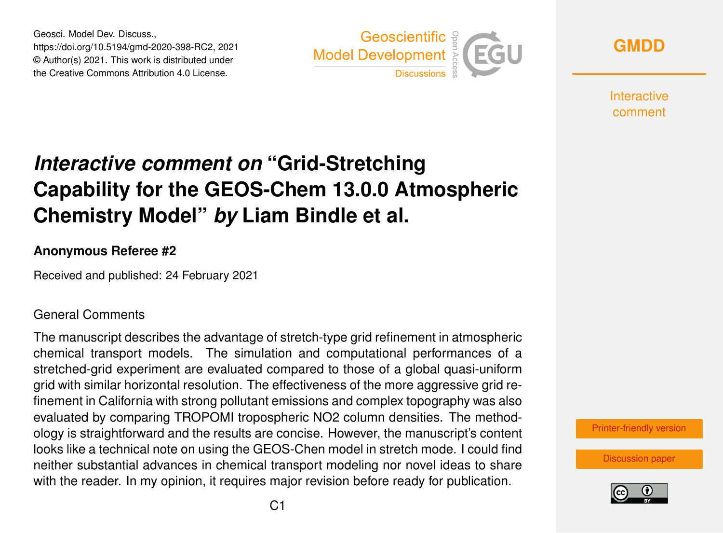Geosci. Model Dev. Discuss., https://doi.org/10.5194/gmd-2020-398-RC2, 2021 © Author(s) 2021. This work is distributed under the Creative Commons Attribution 4.0 License.



**[GMDD](https://gmd.copernicus.org/preprints/)**

**Interactive** comment

# *Interactive comment on* **"Grid-Stretching Capability for the GEOS-Chem 13.0.0 Atmospheric Chemistry Model"** *by* **Liam Bindle et al.**

### **Anonymous Referee #2**

Received and published: 24 February 2021

### General Comments

The manuscript describes the advantage of stretch-type grid refinement in atmospheric chemical transport models. The simulation and computational performances of a stretched-grid experiment are evaluated compared to those of a global quasi-uniform grid with similar horizontal resolution. The effectiveness of the more aggressive grid refinement in California with strong pollutant emissions and complex topography was also evaluated by comparing TROPOMI tropospheric NO2 column densities. The methodology is straightforward and the results are concise. However, the manuscript's content looks like a technical note on using the GEOS-Chen model in stretch mode. I could find neither substantial advances in chemical transport modeling nor novel ideas to share with the reader. In my opinion, it requires major revision before ready for publication.



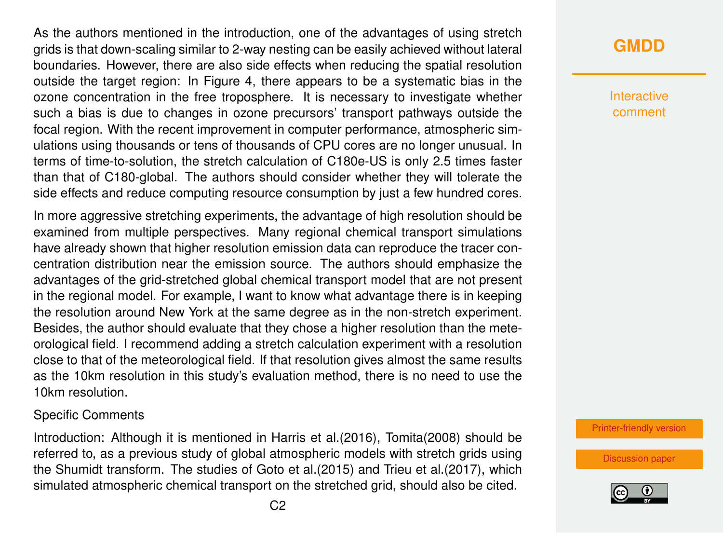As the authors mentioned in the introduction, one of the advantages of using stretch grids is that down-scaling similar to 2-way nesting can be easily achieved without lateral boundaries. However, there are also side effects when reducing the spatial resolution outside the target region: In Figure 4, there appears to be a systematic bias in the ozone concentration in the free troposphere. It is necessary to investigate whether such a bias is due to changes in ozone precursors' transport pathways outside the focal region. With the recent improvement in computer performance, atmospheric simulations using thousands or tens of thousands of CPU cores are no longer unusual. In terms of time-to-solution, the stretch calculation of C180e-US is only 2.5 times faster than that of C180-global. The authors should consider whether they will tolerate the side effects and reduce computing resource consumption by just a few hundred cores.

In more aggressive stretching experiments, the advantage of high resolution should be examined from multiple perspectives. Many regional chemical transport simulations have already shown that higher resolution emission data can reproduce the tracer concentration distribution near the emission source. The authors should emphasize the advantages of the grid-stretched global chemical transport model that are not present in the regional model. For example, I want to know what advantage there is in keeping the resolution around New York at the same degree as in the non-stretch experiment. Besides, the author should evaluate that they chose a higher resolution than the meteorological field. I recommend adding a stretch calculation experiment with a resolution close to that of the meteorological field. If that resolution gives almost the same results as the 10km resolution in this study's evaluation method, there is no need to use the 10km resolution.

#### Specific Comments

Introduction: Although it is mentioned in Harris et al.(2016), Tomita(2008) should be referred to, as a previous study of global atmospheric models with stretch grids using the Shumidt transform. The studies of Goto et al.(2015) and Trieu et al.(2017), which simulated atmospheric chemical transport on the stretched grid, should also be cited.

# **[GMDD](https://gmd.copernicus.org/preprints/)**

**Interactive** comment

[Printer-friendly version](https://gmd.copernicus.org/preprints/gmd-2020-398/gmd-2020-398-RC2-print.pdf)

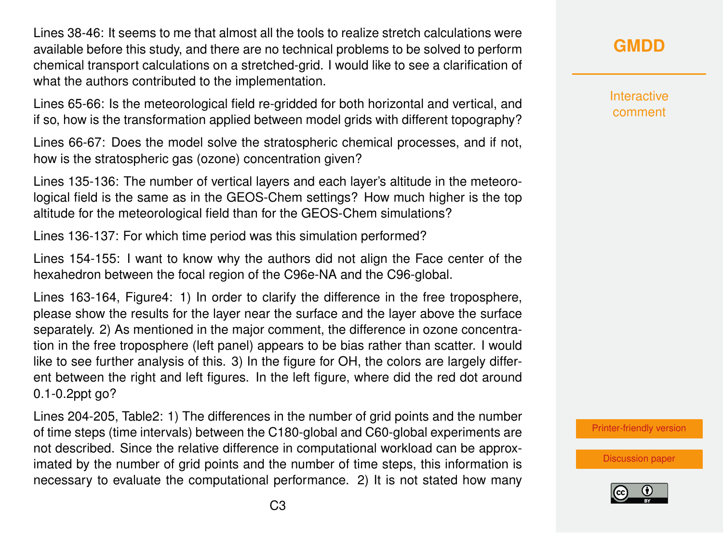Lines 38-46: It seems to me that almost all the tools to realize stretch calculations were available before this study, and there are no technical problems to be solved to perform chemical transport calculations on a stretched-grid. I would like to see a clarification of what the authors contributed to the implementation.

Lines 65-66: Is the meteorological field re-gridded for both horizontal and vertical, and if so, how is the transformation applied between model grids with different topography?

Lines 66-67: Does the model solve the stratospheric chemical processes, and if not, how is the stratospheric gas (ozone) concentration given?

Lines 135-136: The number of vertical layers and each layer's altitude in the meteorological field is the same as in the GEOS-Chem settings? How much higher is the top altitude for the meteorological field than for the GEOS-Chem simulations?

Lines 136-137: For which time period was this simulation performed?

Lines 154-155: I want to know why the authors did not align the Face center of the hexahedron between the focal region of the C96e-NA and the C96-global.

Lines 163-164, Figure4: 1) In order to clarify the difference in the free troposphere, please show the results for the layer near the surface and the layer above the surface separately. 2) As mentioned in the major comment, the difference in ozone concentration in the free troposphere (left panel) appears to be bias rather than scatter. I would like to see further analysis of this. 3) In the figure for OH, the colors are largely different between the right and left figures. In the left figure, where did the red dot around 0.1-0.2ppt go?

Lines 204-205, Table2: 1) The differences in the number of grid points and the number of time steps (time intervals) between the C180-global and C60-global experiments are not described. Since the relative difference in computational workload can be approximated by the number of grid points and the number of time steps, this information is necessary to evaluate the computational performance. 2) It is not stated how many

## **[GMDD](https://gmd.copernicus.org/preprints/)**

**Interactive** comment

[Printer-friendly version](https://gmd.copernicus.org/preprints/gmd-2020-398/gmd-2020-398-RC2-print.pdf)

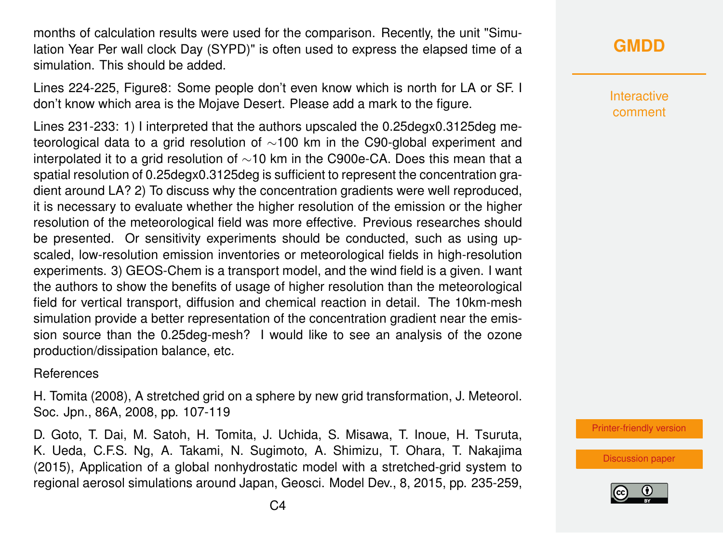months of calculation results were used for the comparison. Recently, the unit "Simulation Year Per wall clock Day (SYPD)" is often used to express the elapsed time of a simulation. This should be added.

Lines 224-225, Figure8: Some people don't even know which is north for LA or SF. I don't know which area is the Mojave Desert. Please add a mark to the figure.

Lines 231-233: 1) I interpreted that the authors upscaled the 0.25degx0.3125deg meteorological data to a grid resolution of ∼100 km in the C90-global experiment and interpolated it to a grid resolution of ∼10 km in the C900e-CA. Does this mean that a spatial resolution of 0.25degx0.3125deg is sufficient to represent the concentration gradient around LA? 2) To discuss why the concentration gradients were well reproduced, it is necessary to evaluate whether the higher resolution of the emission or the higher resolution of the meteorological field was more effective. Previous researches should be presented. Or sensitivity experiments should be conducted, such as using upscaled, low-resolution emission inventories or meteorological fields in high-resolution experiments. 3) GEOS-Chem is a transport model, and the wind field is a given. I want the authors to show the benefits of usage of higher resolution than the meteorological field for vertical transport, diffusion and chemical reaction in detail. The 10km-mesh simulation provide a better representation of the concentration gradient near the emission source than the 0.25deg-mesh? I would like to see an analysis of the ozone production/dissipation balance, etc.

#### References

H. Tomita (2008), A stretched grid on a sphere by new grid transformation, J. Meteorol. Soc. Jpn., 86A, 2008, pp. 107-119

D. Goto, T. Dai, M. Satoh, H. Tomita, J. Uchida, S. Misawa, T. Inoue, H. Tsuruta, K. Ueda, C.F.S. Ng, A. Takami, N. Sugimoto, A. Shimizu, T. Ohara, T. Nakajima (2015), Application of a global nonhydrostatic model with a stretched-grid system to regional aerosol simulations around Japan, Geosci. Model Dev., 8, 2015, pp. 235-259, Interactive comment

[Printer-friendly version](https://gmd.copernicus.org/preprints/gmd-2020-398/gmd-2020-398-RC2-print.pdf)